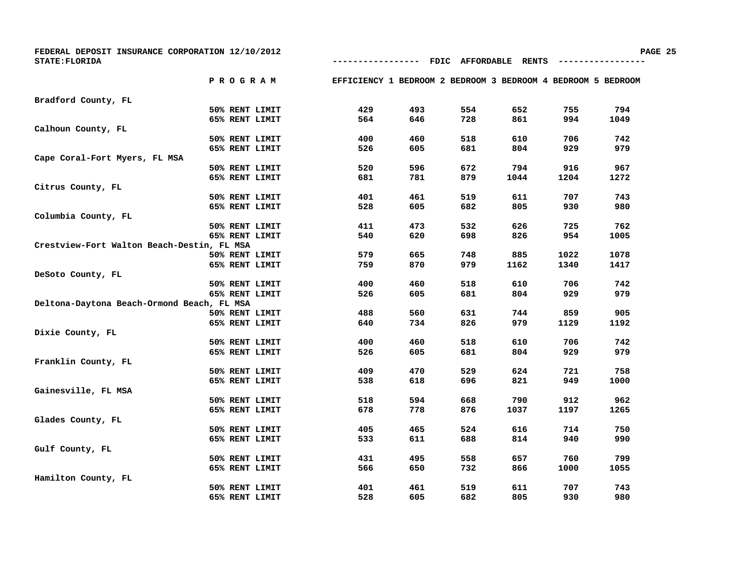| FEDERAL DEPOSIT INSURANCE CORPORATION 12/10/2012<br><b>STATE: FLORIDA</b> |                | ----------                                                   |     | FDIC AFFORDABLE RENTS |      |      | РA   |
|---------------------------------------------------------------------------|----------------|--------------------------------------------------------------|-----|-----------------------|------|------|------|
|                                                                           |                |                                                              |     |                       |      |      |      |
| P R O G R A M                                                             |                | EFFICIENCY 1 BEDROOM 2 BEDROOM 3 BEDROOM 4 BEDROOM 5 BEDROOM |     |                       |      |      |      |
| Bradford County, FL                                                       |                |                                                              |     |                       |      |      |      |
|                                                                           | 50% RENT LIMIT | 429                                                          | 493 | 554                   | 652  | 755  | 794  |
|                                                                           | 65% RENT LIMIT | 564                                                          | 646 | 728                   | 861  | 994  | 1049 |
| Calhoun County, FL                                                        |                |                                                              |     |                       |      |      |      |
|                                                                           | 50% RENT LIMIT | 400                                                          | 460 | 518                   | 610  | 706  | 742  |
|                                                                           | 65% RENT LIMIT | 526                                                          | 605 | 681                   | 804  | 929  | 979  |
| Cape Coral-Fort Myers, FL MSA                                             |                |                                                              |     |                       |      |      |      |
|                                                                           | 50% RENT LIMIT | 520                                                          | 596 | 672                   | 794  | 916  | 967  |
|                                                                           | 65% RENT LIMIT | 681                                                          | 781 | 879                   | 1044 | 1204 | 1272 |
| Citrus County, FL                                                         |                |                                                              |     |                       |      |      |      |
|                                                                           | 50% RENT LIMIT | 401                                                          | 461 | 519                   | 611  | 707  | 743  |
|                                                                           | 65% RENT LIMIT | 528                                                          | 605 | 682                   | 805  | 930  | 980  |
| Columbia County, FL                                                       |                |                                                              |     |                       |      |      |      |
|                                                                           | 50% RENT LIMIT | 411                                                          | 473 | 532                   | 626  | 725  | 762  |
|                                                                           | 65% RENT LIMIT | 540                                                          | 620 | 698                   | 826  | 954  | 1005 |
| Crestview-Fort Walton Beach-Destin, FL MSA                                |                |                                                              |     |                       |      |      |      |
|                                                                           | 50% RENT LIMIT | 579                                                          | 665 | 748                   | 885  | 1022 | 1078 |
|                                                                           | 65% RENT LIMIT | 759                                                          | 870 | 979                   | 1162 | 1340 | 1417 |
| DeSoto County, FL                                                         |                |                                                              |     |                       |      |      |      |
|                                                                           | 50% RENT LIMIT | 400                                                          | 460 | 518                   | 610  | 706  | 742  |
|                                                                           | 65% RENT LIMIT | 526                                                          | 605 | 681                   | 804  | 929  | 979  |
| Deltona-Daytona Beach-Ormond Beach, FL MSA                                |                |                                                              |     |                       |      |      |      |
|                                                                           | 50% RENT LIMIT | 488                                                          | 560 | 631                   | 744  | 859  | 905  |
|                                                                           | 65% RENT LIMIT | 640                                                          | 734 | 826                   | 979  | 1129 | 1192 |
| Dixie County, FL                                                          |                |                                                              |     |                       |      |      |      |
|                                                                           | 50% RENT LIMIT | 400                                                          | 460 | 518                   | 610  | 706  | 742  |
|                                                                           | 65% RENT LIMIT | 526                                                          | 605 | 681                   | 804  | 929  | 979  |
| Franklin County, FL                                                       |                |                                                              |     |                       |      |      |      |
|                                                                           | 50% RENT LIMIT | 409                                                          | 470 | 529                   | 624  | 721  | 758  |
|                                                                           | 65% RENT LIMIT | 538                                                          | 618 | 696                   | 821  | 949  | 1000 |
| Gainesville, FL MSA                                                       |                |                                                              |     |                       |      |      |      |
|                                                                           | 50% RENT LIMIT | 518                                                          | 594 | 668                   | 790  | 912  | 962  |
|                                                                           | 65% RENT LIMIT | 678                                                          | 778 | 876                   | 1037 | 1197 | 1265 |
| Glades County, FL                                                         |                |                                                              |     |                       |      |      |      |
|                                                                           | 50% RENT LIMIT | 405                                                          | 465 | 524                   | 616  | 714  | 750  |
|                                                                           | 65% RENT LIMIT | 533                                                          | 611 | 688                   | 814  | 940  | 990  |
| Gulf County, FL                                                           |                |                                                              |     |                       |      |      |      |
|                                                                           | 50% RENT LIMIT | 431                                                          | 495 | 558                   | 657  | 760  | 799  |
|                                                                           | 65% RENT LIMIT | 566                                                          | 650 | 732                   | 866  | 1000 | 1055 |
| Hamilton County, FL                                                       |                |                                                              |     |                       |      |      |      |
|                                                                           | 50% RENT LIMIT | 401                                                          | 461 | 519                   | 611  | 707  | 743  |
|                                                                           | 65% RENT LIMIT | 528                                                          | 605 | 682                   | 805  | 930  | 980  |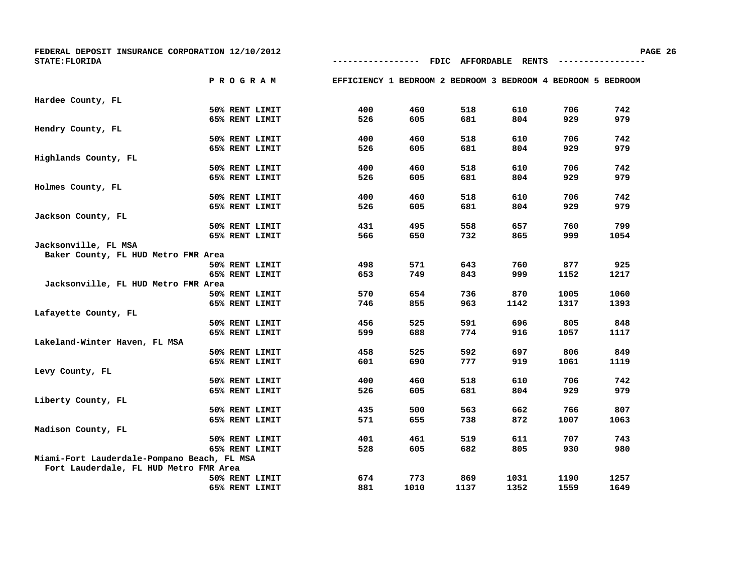| FEDERAL DEPOSIT INSURANCE CORPORATION 12/10/2012<br>STATE: FLORIDA |  |                | ------------                                                 |      |      | FDIC AFFORDABLE RENTS |      | PA   |
|--------------------------------------------------------------------|--|----------------|--------------------------------------------------------------|------|------|-----------------------|------|------|
|                                                                    |  |                |                                                              |      |      |                       |      |      |
|                                                                    |  | <b>PROGRAM</b> | EFFICIENCY 1 BEDROOM 2 BEDROOM 3 BEDROOM 4 BEDROOM 5 BEDROOM |      |      |                       |      |      |
| Hardee County, FL                                                  |  |                |                                                              |      |      |                       |      |      |
|                                                                    |  | 50% RENT LIMIT | 400                                                          | 460  | 518  | 610                   | 706  | 742  |
|                                                                    |  | 65% RENT LIMIT | 526                                                          | 605  | 681  | 804                   | 929  | 979  |
| Hendry County, FL                                                  |  |                |                                                              |      |      |                       |      |      |
|                                                                    |  | 50% RENT LIMIT | 400                                                          | 460  | 518  | 610                   | 706  | 742  |
|                                                                    |  | 65% RENT LIMIT | 526                                                          | 605  | 681  | 804                   | 929  | 979  |
| Highlands County, FL                                               |  |                |                                                              |      |      |                       |      |      |
|                                                                    |  | 50% RENT LIMIT | 400                                                          | 460  | 518  | 610                   | 706  | 742  |
|                                                                    |  | 65% RENT LIMIT | 526                                                          | 605  | 681  | 804                   | 929  | 979  |
| Holmes County, FL                                                  |  |                |                                                              |      |      |                       |      |      |
|                                                                    |  | 50% RENT LIMIT | 400                                                          | 460  | 518  | 610                   | 706  | 742  |
|                                                                    |  | 65% RENT LIMIT | 526                                                          | 605  | 681  | 804                   | 929  | 979  |
| Jackson County, FL                                                 |  |                |                                                              |      |      |                       |      |      |
|                                                                    |  | 50% RENT LIMIT | 431                                                          | 495  | 558  | 657                   | 760  | 799  |
|                                                                    |  | 65% RENT LIMIT | 566                                                          | 650  | 732  | 865                   | 999  | 1054 |
| Jacksonville, FL MSA                                               |  |                |                                                              |      |      |                       |      |      |
| Baker County, FL HUD Metro FMR Area                                |  |                |                                                              |      |      |                       |      |      |
|                                                                    |  | 50% RENT LIMIT | 498                                                          | 571  | 643  | 760                   | 877  | 925  |
|                                                                    |  | 65% RENT LIMIT | 653                                                          | 749  | 843  | 999                   | 1152 | 1217 |
| Jacksonville, FL HUD Metro FMR Area                                |  |                |                                                              |      |      |                       |      |      |
|                                                                    |  | 50% RENT LIMIT | 570                                                          | 654  | 736  | 870                   | 1005 | 1060 |
|                                                                    |  | 65% RENT LIMIT | 746                                                          | 855  | 963  | 1142                  | 1317 | 1393 |
| Lafayette County, FL                                               |  |                |                                                              |      |      |                       |      |      |
|                                                                    |  | 50% RENT LIMIT | 456                                                          | 525  | 591  | 696                   | 805  | 848  |
|                                                                    |  | 65% RENT LIMIT | 599                                                          | 688  | 774  | 916                   | 1057 | 1117 |
| Lakeland-Winter Haven, FL MSA                                      |  |                |                                                              |      |      |                       |      |      |
|                                                                    |  | 50% RENT LIMIT | 458                                                          | 525  | 592  | 697                   | 806  | 849  |
|                                                                    |  | 65% RENT LIMIT | 601                                                          | 690  | 777  | 919                   | 1061 | 1119 |
| Levy County, FL                                                    |  |                |                                                              |      |      |                       |      |      |
|                                                                    |  | 50% RENT LIMIT | 400                                                          | 460  | 518  | 610                   | 706  | 742  |
|                                                                    |  | 65% RENT LIMIT | 526                                                          | 605  | 681  | 804                   | 929  | 979  |
| Liberty County, FL                                                 |  |                |                                                              |      |      |                       |      |      |
|                                                                    |  | 50% RENT LIMIT | 435                                                          | 500  | 563  | 662                   | 766  | 807  |
|                                                                    |  | 65% RENT LIMIT | 571                                                          | 655  | 738  | 872                   | 1007 | 1063 |
| Madison County, FL                                                 |  |                |                                                              |      |      |                       |      |      |
|                                                                    |  | 50% RENT LIMIT | 401                                                          | 461  | 519  | 611                   | 707  | 743  |
|                                                                    |  | 65% RENT LIMIT | 528                                                          | 605  | 682  | 805                   | 930  | 980  |
| Miami-Fort Lauderdale-Pompano Beach, FL MSA                        |  |                |                                                              |      |      |                       |      |      |
| Fort Lauderdale, FL HUD Metro FMR Area                             |  |                |                                                              |      |      |                       |      |      |
|                                                                    |  | 50% RENT LIMIT | 674                                                          | 773  | 869  | 1031                  | 1190 | 1257 |
|                                                                    |  | 65% RENT LIMIT | 881                                                          | 1010 | 1137 | 1352                  | 1559 | 1649 |

**PAGE 26**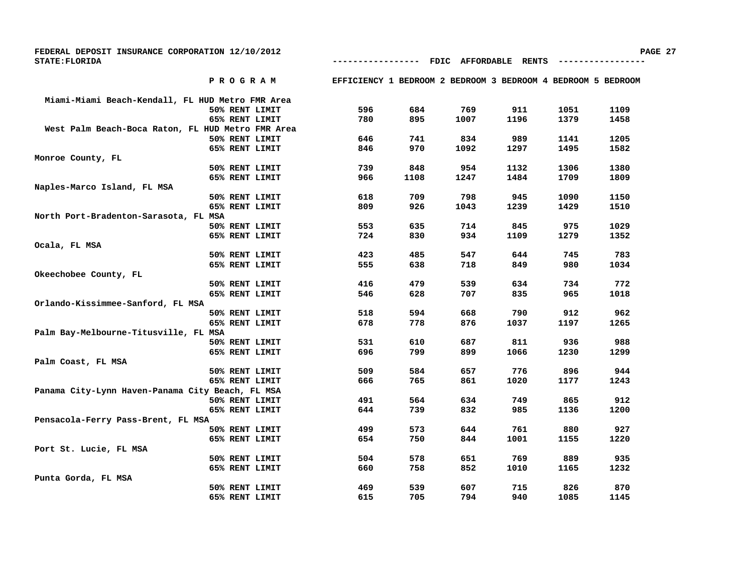| FEDERAL DEPOSIT INSURANCE CORPORATION 12/10/2012     |                                                              |      |                 |              |      |      | PAGE 27 |
|------------------------------------------------------|--------------------------------------------------------------|------|-----------------|--------------|------|------|---------|
| <b>STATE: FLORIDA</b>                                |                                                              |      | FDIC AFFORDABLE | <b>RENTS</b> |      |      |         |
| PROGRAM                                              | EFFICIENCY 1 BEDROOM 2 BEDROOM 3 BEDROOM 4 BEDROOM 5 BEDROOM |      |                 |              |      |      |         |
| Miami-Miami Beach-Kendall, FL HUD Metro FMR Area     |                                                              |      |                 |              |      |      |         |
| 50% RENT LIMIT                                       | 596                                                          | 684  | 769             | 911          | 1051 | 1109 |         |
| 65% RENT LIMIT                                       | 780                                                          | 895  | 1007            | 1196         | 1379 | 1458 |         |
| West Palm Beach-Boca Raton, FL HUD Metro FMR Area    |                                                              |      |                 |              |      |      |         |
| 50% RENT LIMIT                                       | 646                                                          | 741  | 834             | 989          | 1141 | 1205 |         |
| 65% RENT LIMIT                                       | 846                                                          | 970  | 1092            | 1297         | 1495 | 1582 |         |
| Monroe County, FL                                    |                                                              |      |                 |              |      |      |         |
| 50% RENT LIMIT                                       | 739                                                          | 848  | 954             | 1132         | 1306 | 1380 |         |
| 65% RENT LIMIT                                       | 966                                                          | 1108 | 1247            | 1484         | 1709 | 1809 |         |
| Naples-Marco Island, FL MSA                          |                                                              |      |                 |              |      |      |         |
| 50% RENT LIMIT                                       | 618                                                          | 709  | 798             | 945          | 1090 | 1150 |         |
| 65% RENT LIMIT                                       | 809                                                          | 926  | 1043            | 1239         | 1429 | 1510 |         |
| North Port-Bradenton-Sarasota, FL MSA                |                                                              |      |                 |              |      |      |         |
| 50% RENT LIMIT                                       | 553                                                          | 635  | 714             | 845          | 975  | 1029 |         |
| 65% RENT LIMIT                                       | 724                                                          | 830  | 934             | 1109         | 1279 | 1352 |         |
| Ocala, FL MSA                                        |                                                              |      |                 |              |      |      |         |
| 50% RENT LIMIT                                       | 423                                                          | 485  | 547             | 644          | 745  | 783  |         |
| 65% RENT LIMIT                                       | 555                                                          | 638  | 718             | 849          | 980  | 1034 |         |
| Okeechobee County, FL                                |                                                              |      |                 |              |      |      |         |
| 50% RENT LIMIT                                       | 416                                                          | 479  | 539             | 634          | 734  | 772  |         |
| 65% RENT LIMIT                                       | 546                                                          | 628  | 707             | 835          | 965  | 1018 |         |
| Orlando-Kissimmee-Sanford, FL MSA                    |                                                              |      |                 |              |      |      |         |
| 50% RENT LIMIT                                       | 518                                                          | 594  | 668             | 790          | 912  | 962  |         |
| 65% RENT LIMIT                                       | 678                                                          | 778  | 876             | 1037         | 1197 | 1265 |         |
| Palm Bay-Melbourne-Titusville, FL MSA                |                                                              |      |                 |              |      |      |         |
| 50% RENT LIMIT                                       | 531                                                          | 610  | 687             | 811          | 936  | 988  |         |
| 65% RENT LIMIT                                       | 696                                                          | 799  | 899             | 1066         | 1230 | 1299 |         |
| Palm Coast, FL MSA                                   |                                                              |      |                 |              |      |      |         |
| 50% RENT LIMIT                                       | 509                                                          | 584  | 657             | 776          | 896  | 944  |         |
| 65% RENT LIMIT                                       | 666                                                          | 765  | 861             | 1020         | 1177 | 1243 |         |
| Panama City-Lynn Haven-Panama City Beach, FL MSA     |                                                              |      |                 |              |      | 912  |         |
| 50% RENT LIMIT                                       | 491                                                          | 564  | 634             | 749          | 865  |      |         |
| 65% RENT LIMIT<br>Pensacola-Ferry Pass-Brent, FL MSA | 644                                                          | 739  | 832             | 985          | 1136 | 1200 |         |
| 50% RENT LIMIT                                       | 499                                                          | 573  | 644             | 761          | 880  | 927  |         |
| 65% RENT LIMIT                                       | 654                                                          | 750  | 844             | 1001         | 1155 | 1220 |         |
| Port St. Lucie, FL MSA                               |                                                              |      |                 |              |      |      |         |
| 50% RENT LIMIT                                       | 504                                                          | 578  | 651             | 769          | 889  | 935  |         |
| 65% RENT LIMIT                                       | 660                                                          | 758  | 852             | 1010         | 1165 | 1232 |         |
| Punta Gorda, FL MSA                                  |                                                              |      |                 |              |      |      |         |
| 50% RENT LIMIT                                       | 469                                                          | 539  | 607             | 715          | 826  | 870  |         |
| 65% RENT LIMIT                                       | 615                                                          | 705  | 794             | 940          | 1085 | 1145 |         |
|                                                      |                                                              |      |                 |              |      |      |         |